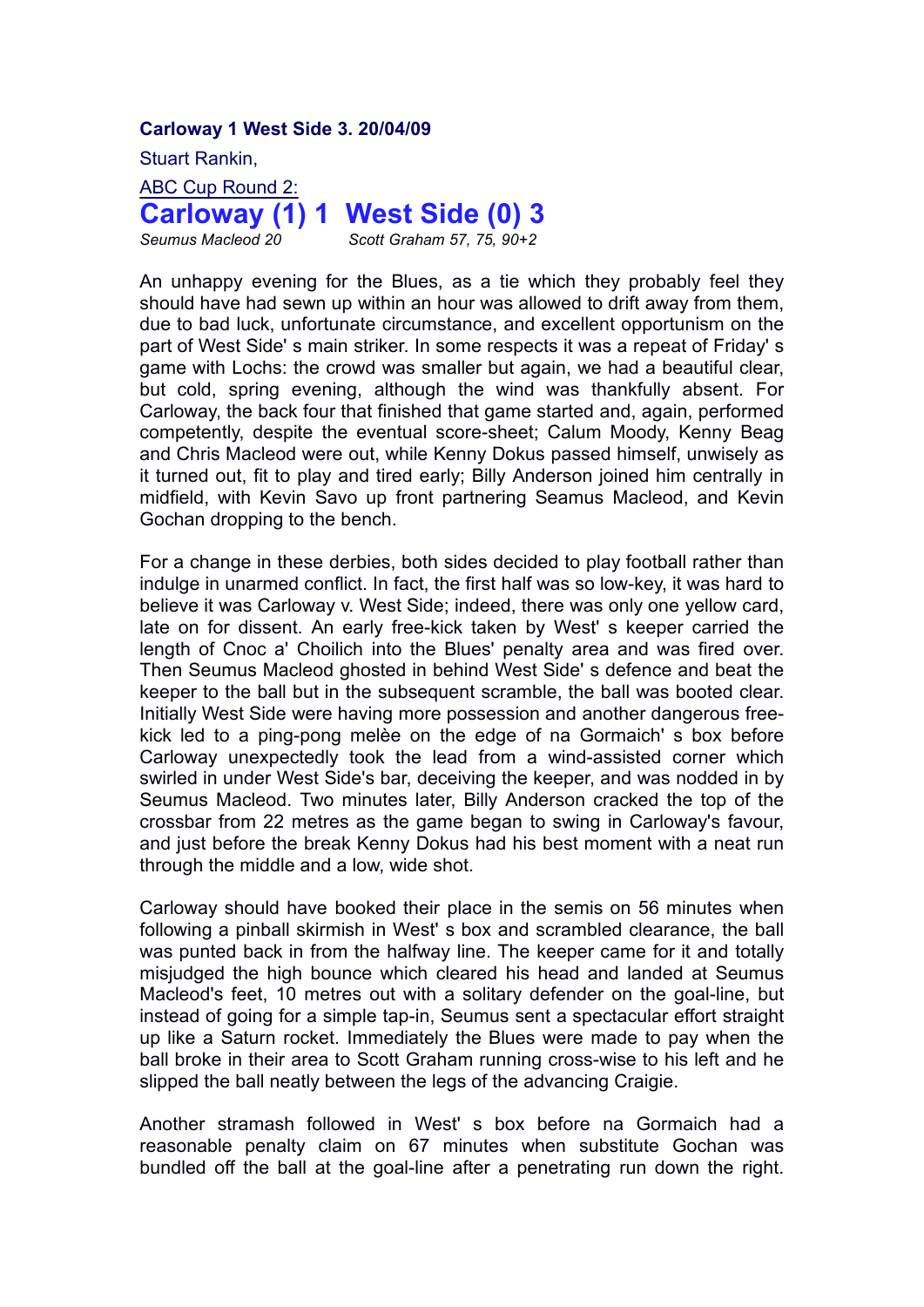**Carloway 1 West Side 3. 20/04/09**

Stuart Rankin,

ABC Cup Round 2: **Carloway (1) 1 West Side (0) 3**

*Seumus Macleod 20 Scott Graham 57, 75, 90+2*

An unhappy evening for the Blues, as a tie which they probably feel they should have had sewn up within an hour was allowed to drift away from them, due to bad luck, unfortunate circumstance, and excellent opportunism on the part of West Side' s main striker. In some respects it was a repeat of Friday' s game with Lochs: the crowd was smaller but again, we had a beautiful clear, but cold, spring evening, although the wind was thankfully absent. For Carloway, the back four that finished that game started and, again, performed competently, despite the eventual score-sheet; Calum Moody, Kenny Beag and Chris Macleod were out, while Kenny Dokus passed himself, unwisely as it turned out, fit to play and tired early; Billy Anderson joined him centrally in midfield, with Kevin Savo up front partnering Seamus Macleod, and Kevin Gochan dropping to the bench.

For a change in these derbies, both sides decided to play football rather than indulge in unarmed conflict. In fact, the first half was so low-key, it was hard to believe it was Carloway v. West Side; indeed, there was only one yellow card, late on for dissent. An early free-kick taken by West' s keeper carried the length of Cnoc a' Choilich into the Blues' penalty area and was fired over. Then Seumus Macleod ghosted in behind West Side' s defence and beat the keeper to the ball but in the subsequent scramble, the ball was booted clear. Initially West Side were having more possession and another dangerous freekick led to a ping-pong melèe on the edge of na Gormaich' s box before Carloway unexpectedly took the lead from a wind-assisted corner which swirled in under West Side's bar, deceiving the keeper, and was nodded in by Seumus Macleod. Two minutes later, Billy Anderson cracked the top of the crossbar from 22 metres as the game began to swing in Carloway's favour, and just before the break Kenny Dokus had his best moment with a neat run through the middle and a low, wide shot.

Carloway should have booked their place in the semis on 56 minutes when following a pinball skirmish in West' s box and scrambled clearance, the ball was punted back in from the halfway line. The keeper came for it and totally misjudged the high bounce which cleared his head and landed at Seumus Macleod's feet, 10 metres out with a solitary defender on the goal-line, but instead of going for a simple tap-in, Seumus sent a spectacular effort straight up like a Saturn rocket. Immediately the Blues were made to pay when the ball broke in their area to Scott Graham running cross-wise to his left and he slipped the ball neatly between the legs of the advancing Craigie.

Another stramash followed in West' s box before na Gormaich had a reasonable penalty claim on 67 minutes when substitute Gochan was bundled off the ball at the goal-line after a penetrating run down the right.